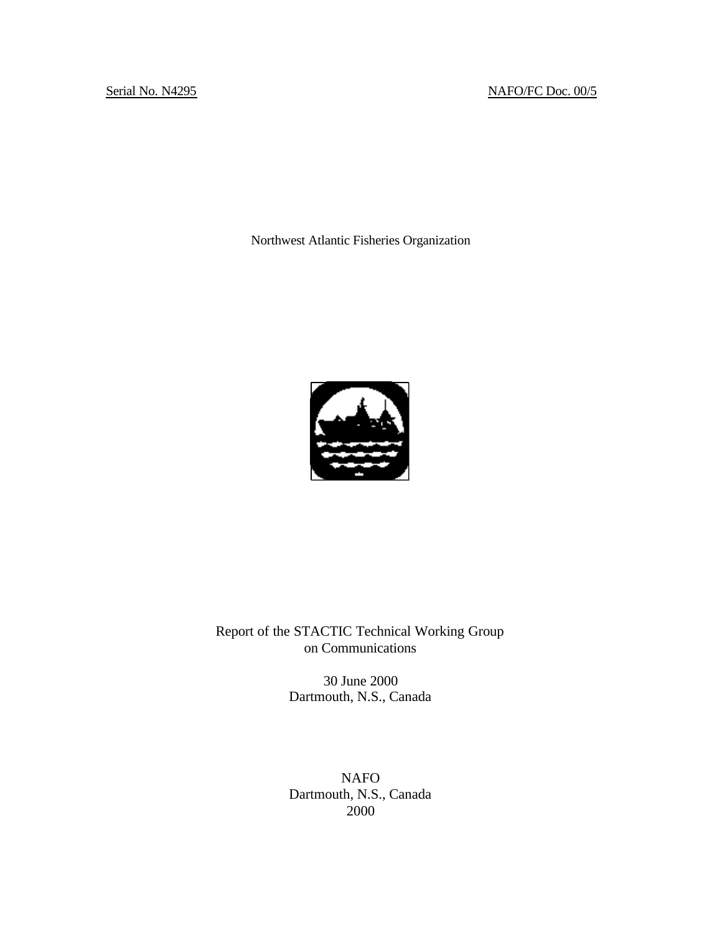# Serial No. N4295 NAFO/FC Doc. 00/5

Northwest Atlantic Fisheries Organization



Report of the STACTIC Technical Working Group on Communications

> 30 June 2000 Dartmouth, N.S., Canada

> NAFO Dartmouth, N.S., Canada 2000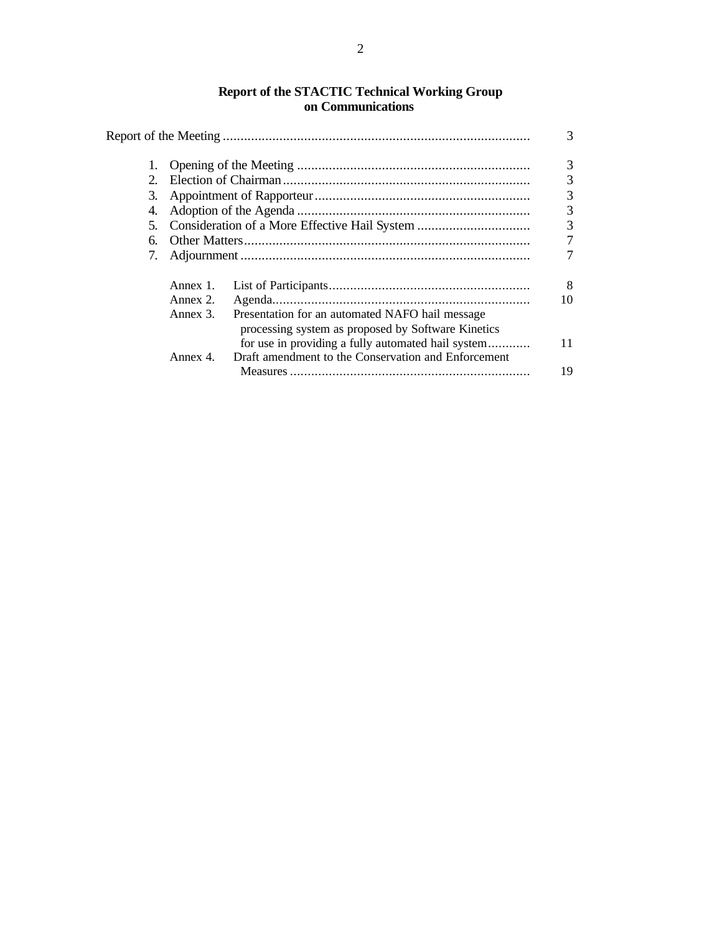### **Report of the STACTIC Technical Working Group on Communications**

|    |          |                                                                                                           | 3        |  |  |
|----|----------|-----------------------------------------------------------------------------------------------------------|----------|--|--|
| 1. |          |                                                                                                           |          |  |  |
| 2. |          |                                                                                                           |          |  |  |
| 3. |          |                                                                                                           |          |  |  |
| 4. |          |                                                                                                           |          |  |  |
| 5. |          |                                                                                                           |          |  |  |
| б. |          |                                                                                                           |          |  |  |
| 7. |          |                                                                                                           |          |  |  |
|    | Annex 1. |                                                                                                           | 8        |  |  |
|    | Annex 2. |                                                                                                           | 10       |  |  |
|    | Annex 3. | Presentation for an automated NAFO hail message<br>processing system as proposed by Software Kinetics     |          |  |  |
|    | Annex 4. | for use in providing a fully automated hail system<br>Draft amendment to the Conservation and Enforcement | 11<br>19 |  |  |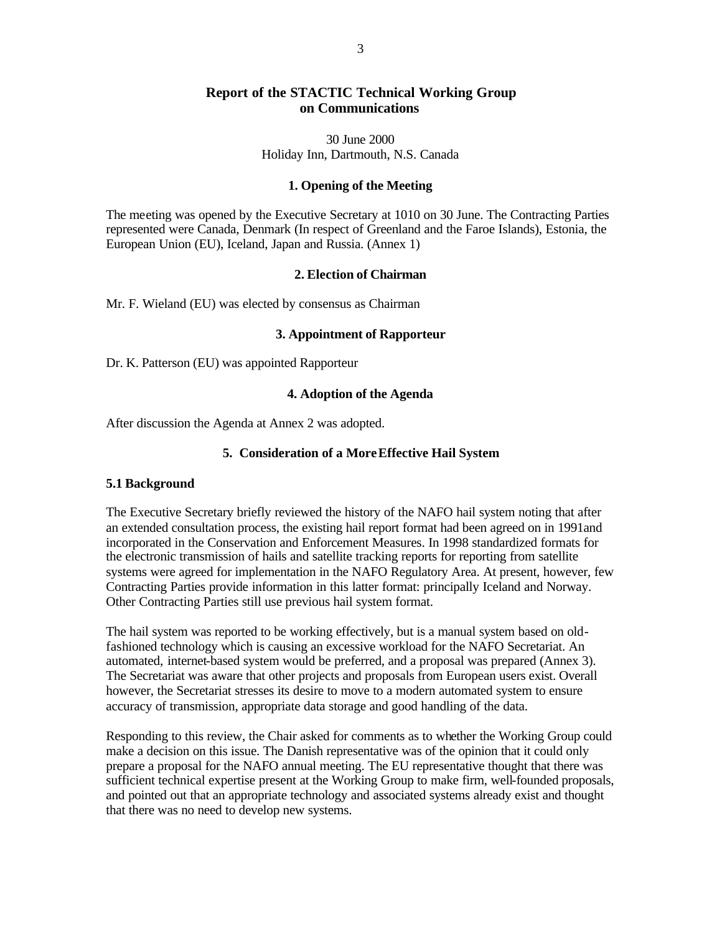# **Report of the STACTIC Technical Working Group on Communications**

30 June 2000 Holiday Inn, Dartmouth, N.S. Canada

### **1. Opening of the Meeting**

The meeting was opened by the Executive Secretary at 1010 on 30 June. The Contracting Parties represented were Canada, Denmark (In respect of Greenland and the Faroe Islands), Estonia, the European Union (EU), Iceland, Japan and Russia. (Annex 1)

#### **2. Election of Chairman**

Mr. F. Wieland (EU) was elected by consensus as Chairman

### **3. Appointment of Rapporteur**

Dr. K. Patterson (EU) was appointed Rapporteur

### **4. Adoption of the Agenda**

After discussion the Agenda at Annex 2 was adopted.

## **5. Consideration of a More Effective Hail System**

#### **5.1 Background**

The Executive Secretary briefly reviewed the history of the NAFO hail system noting that after an extended consultation process, the existing hail report format had been agreed on in 1991and incorporated in the Conservation and Enforcement Measures. In 1998 standardized formats for the electronic transmission of hails and satellite tracking reports for reporting from satellite systems were agreed for implementation in the NAFO Regulatory Area. At present, however, few Contracting Parties provide information in this latter format: principally Iceland and Norway. Other Contracting Parties still use previous hail system format.

The hail system was reported to be working effectively, but is a manual system based on oldfashioned technology which is causing an excessive workload for the NAFO Secretariat. An automated, internet-based system would be preferred, and a proposal was prepared (Annex 3). The Secretariat was aware that other projects and proposals from European users exist. Overall however, the Secretariat stresses its desire to move to a modern automated system to ensure accuracy of transmission, appropriate data storage and good handling of the data.

Responding to this review, the Chair asked for comments as to whether the Working Group could make a decision on this issue. The Danish representative was of the opinion that it could only prepare a proposal for the NAFO annual meeting. The EU representative thought that there was sufficient technical expertise present at the Working Group to make firm, well-founded proposals, and pointed out that an appropriate technology and associated systems already exist and thought that there was no need to develop new systems.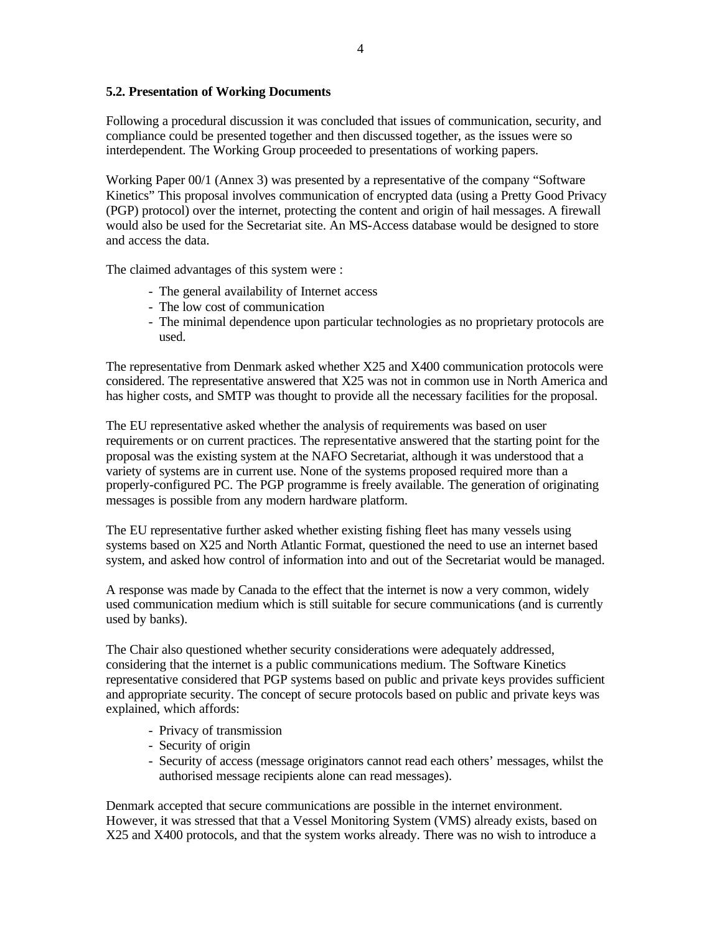## **5.2. Presentation of Working Documents**

Following a procedural discussion it was concluded that issues of communication, security, and compliance could be presented together and then discussed together, as the issues were so interdependent. The Working Group proceeded to presentations of working papers.

Working Paper 00/1 (Annex 3) was presented by a representative of the company "Software Kinetics" This proposal involves communication of encrypted data (using a Pretty Good Privacy (PGP) protocol) over the internet, protecting the content and origin of hail messages. A firewall would also be used for the Secretariat site. An MS-Access database would be designed to store and access the data.

The claimed advantages of this system were :

- The general availability of Internet access
- The low cost of communication
- The minimal dependence upon particular technologies as no proprietary protocols are used.

The representative from Denmark asked whether X25 and X400 communication protocols were considered. The representative answered that X25 was not in common use in North America and has higher costs, and SMTP was thought to provide all the necessary facilities for the proposal.

The EU representative asked whether the analysis of requirements was based on user requirements or on current practices. The representative answered that the starting point for the proposal was the existing system at the NAFO Secretariat, although it was understood that a variety of systems are in current use. None of the systems proposed required more than a properly-configured PC. The PGP programme is freely available. The generation of originating messages is possible from any modern hardware platform.

The EU representative further asked whether existing fishing fleet has many vessels using systems based on X25 and North Atlantic Format, questioned the need to use an internet based system, and asked how control of information into and out of the Secretariat would be managed.

A response was made by Canada to the effect that the internet is now a very common, widely used communication medium which is still suitable for secure communications (and is currently used by banks).

The Chair also questioned whether security considerations were adequately addressed, considering that the internet is a public communications medium. The Software Kinetics representative considered that PGP systems based on public and private keys provides sufficient and appropriate security. The concept of secure protocols based on public and private keys was explained, which affords:

- Privacy of transmission
- Security of origin
- Security of access (message originators cannot read each others' messages, whilst the authorised message recipients alone can read messages).

Denmark accepted that secure communications are possible in the internet environment. However, it was stressed that that a Vessel Monitoring System (VMS) already exists, based on X25 and X400 protocols, and that the system works already. There was no wish to introduce a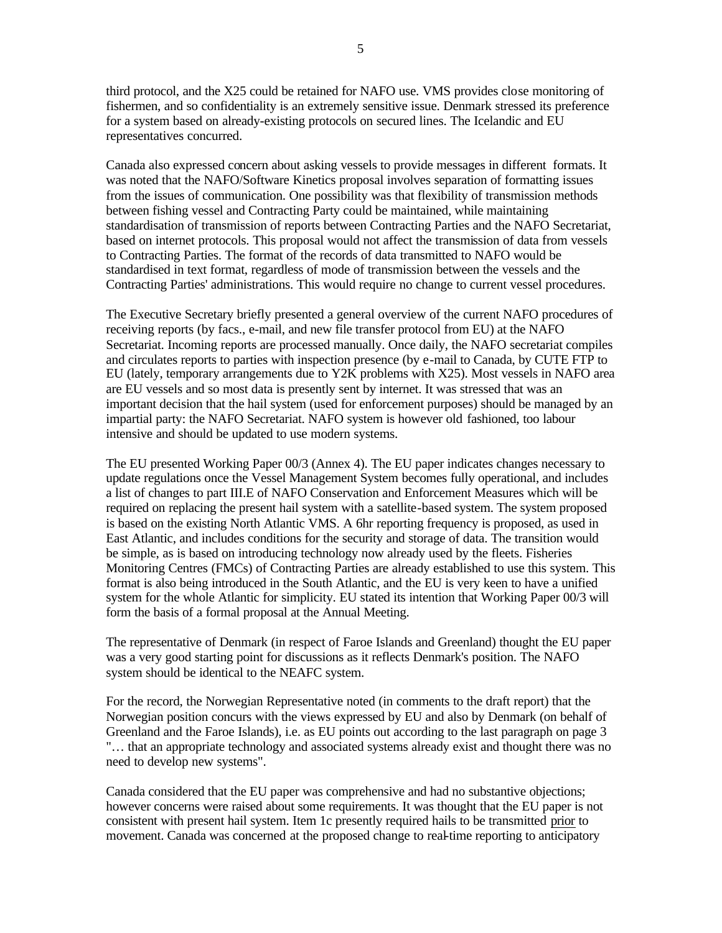5

third protocol, and the X25 could be retained for NAFO use. VMS provides close monitoring of fishermen, and so confidentiality is an extremely sensitive issue. Denmark stressed its preference for a system based on already-existing protocols on secured lines. The Icelandic and EU representatives concurred.

Canada also expressed concern about asking vessels to provide messages in different formats. It was noted that the NAFO/Software Kinetics proposal involves separation of formatting issues from the issues of communication. One possibility was that flexibility of transmission methods between fishing vessel and Contracting Party could be maintained, while maintaining standardisation of transmission of reports between Contracting Parties and the NAFO Secretariat, based on internet protocols. This proposal would not affect the transmission of data from vessels to Contracting Parties. The format of the records of data transmitted to NAFO would be standardised in text format, regardless of mode of transmission between the vessels and the Contracting Parties' administrations. This would require no change to current vessel procedures.

The Executive Secretary briefly presented a general overview of the current NAFO procedures of receiving reports (by facs., e-mail, and new file transfer protocol from EU) at the NAFO Secretariat. Incoming reports are processed manually. Once daily, the NAFO secretariat compiles and circulates reports to parties with inspection presence (by e-mail to Canada, by CUTE FTP to EU (lately, temporary arrangements due to Y2K problems with X25). Most vessels in NAFO area are EU vessels and so most data is presently sent by internet. It was stressed that was an important decision that the hail system (used for enforcement purposes) should be managed by an impartial party: the NAFO Secretariat. NAFO system is however old fashioned, too labour intensive and should be updated to use modern systems.

The EU presented Working Paper 00/3 (Annex 4). The EU paper indicates changes necessary to update regulations once the Vessel Management System becomes fully operational, and includes a list of changes to part III.E of NAFO Conservation and Enforcement Measures which will be required on replacing the present hail system with a satellite-based system. The system proposed is based on the existing North Atlantic VMS. A 6hr reporting frequency is proposed, as used in East Atlantic, and includes conditions for the security and storage of data. The transition would be simple, as is based on introducing technology now already used by the fleets. Fisheries Monitoring Centres (FMCs) of Contracting Parties are already established to use this system. This format is also being introduced in the South Atlantic, and the EU is very keen to have a unified system for the whole Atlantic for simplicity. EU stated its intention that Working Paper 00/3 will form the basis of a formal proposal at the Annual Meeting.

The representative of Denmark (in respect of Faroe Islands and Greenland) thought the EU paper was a very good starting point for discussions as it reflects Denmark's position. The NAFO system should be identical to the NEAFC system.

For the record, the Norwegian Representative noted (in comments to the draft report) that the Norwegian position concurs with the views expressed by EU and also by Denmark (on behalf of Greenland and the Faroe Islands), i.e. as EU points out according to the last paragraph on page 3 "… that an appropriate technology and associated systems already exist and thought there was no need to develop new systems".

Canada considered that the EU paper was comprehensive and had no substantive objections; however concerns were raised about some requirements. It was thought that the EU paper is not consistent with present hail system. Item 1c presently required hails to be transmitted prior to movement. Canada was concerned at the proposed change to real-time reporting to anticipatory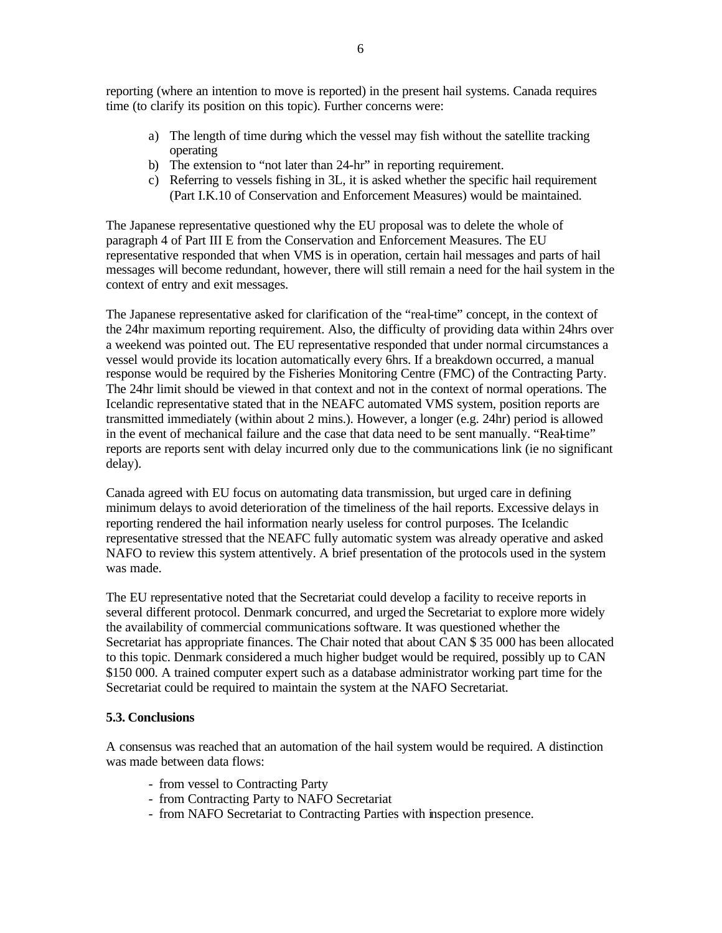reporting (where an intention to move is reported) in the present hail systems. Canada requires time (to clarify its position on this topic). Further concerns were:

- a) The length of time during which the vessel may fish without the satellite tracking operating
- b) The extension to "not later than 24-hr" in reporting requirement.
- c) Referring to vessels fishing in 3L, it is asked whether the specific hail requirement (Part I.K.10 of Conservation and Enforcement Measures) would be maintained.

The Japanese representative questioned why the EU proposal was to delete the whole of paragraph 4 of Part III E from the Conservation and Enforcement Measures. The EU representative responded that when VMS is in operation, certain hail messages and parts of hail messages will become redundant, however, there will still remain a need for the hail system in the context of entry and exit messages.

The Japanese representative asked for clarification of the "real-time" concept, in the context of the 24hr maximum reporting requirement. Also, the difficulty of providing data within 24hrs over a weekend was pointed out. The EU representative responded that under normal circumstances a vessel would provide its location automatically every 6hrs. If a breakdown occurred, a manual response would be required by the Fisheries Monitoring Centre (FMC) of the Contracting Party. The 24hr limit should be viewed in that context and not in the context of normal operations. The Icelandic representative stated that in the NEAFC automated VMS system, position reports are transmitted immediately (within about 2 mins.). However, a longer (e.g. 24hr) period is allowed in the event of mechanical failure and the case that data need to be sent manually. "Real-time" reports are reports sent with delay incurred only due to the communications link (ie no significant delay).

Canada agreed with EU focus on automating data transmission, but urged care in defining minimum delays to avoid deterioration of the timeliness of the hail reports. Excessive delays in reporting rendered the hail information nearly useless for control purposes. The Icelandic representative stressed that the NEAFC fully automatic system was already operative and asked NAFO to review this system attentively. A brief presentation of the protocols used in the system was made.

The EU representative noted that the Secretariat could develop a facility to receive reports in several different protocol. Denmark concurred, and urged the Secretariat to explore more widely the availability of commercial communications software. It was questioned whether the Secretariat has appropriate finances. The Chair noted that about CAN \$ 35 000 has been allocated to this topic. Denmark considered a much higher budget would be required, possibly up to CAN \$150 000. A trained computer expert such as a database administrator working part time for the Secretariat could be required to maintain the system at the NAFO Secretariat.

## **5.3. Conclusions**

A consensus was reached that an automation of the hail system would be required. A distinction was made between data flows:

- from vessel to Contracting Party
- from Contracting Party to NAFO Secretariat
- from NAFO Secretariat to Contracting Parties with inspection presence.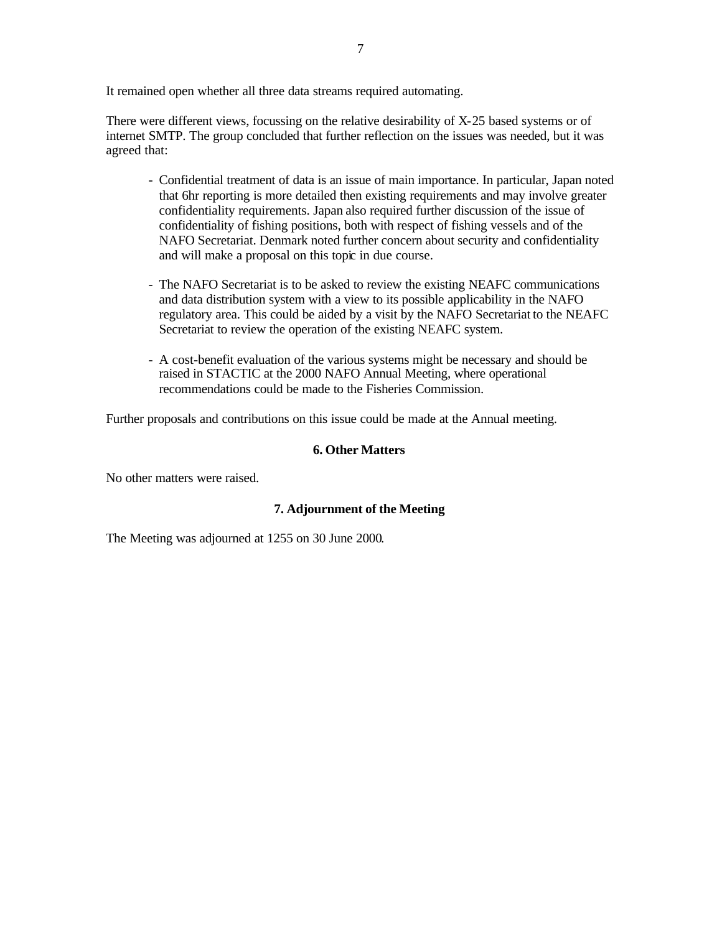It remained open whether all three data streams required automating.

There were different views, focussing on the relative desirability of X-25 based systems or of internet SMTP. The group concluded that further reflection on the issues was needed, but it was agreed that:

- Confidential treatment of data is an issue of main importance. In particular, Japan noted that 6hr reporting is more detailed then existing requirements and may involve greater confidentiality requirements. Japan also required further discussion of the issue of confidentiality of fishing positions, both with respect of fishing vessels and of the NAFO Secretariat. Denmark noted further concern about security and confidentiality and will make a proposal on this topic in due course.
- The NAFO Secretariat is to be asked to review the existing NEAFC communications and data distribution system with a view to its possible applicability in the NAFO regulatory area. This could be aided by a visit by the NAFO Secretariat to the NEAFC Secretariat to review the operation of the existing NEAFC system.
- A cost-benefit evaluation of the various systems might be necessary and should be raised in STACTIC at the 2000 NAFO Annual Meeting, where operational recommendations could be made to the Fisheries Commission.

Further proposals and contributions on this issue could be made at the Annual meeting.

## **6. Other Matters**

No other matters were raised.

## **7. Adjournment of the Meeting**

The Meeting was adjourned at 1255 on 30 June 2000.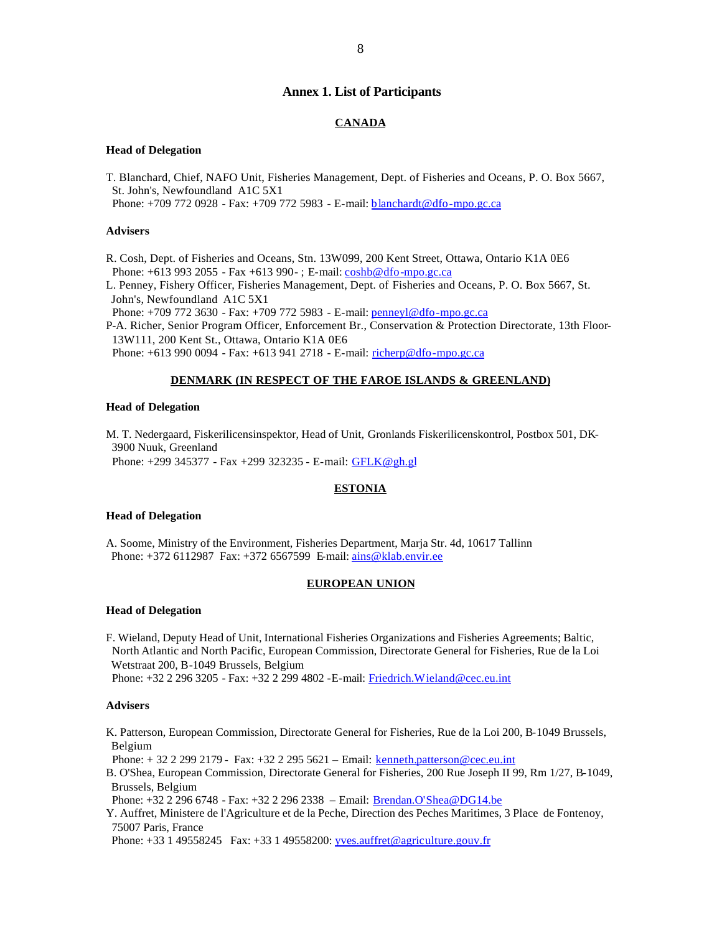#### **Annex 1. List of Participants**

#### **CANADA**

#### **Head of Delegation**

T. Blanchard, Chief, NAFO Unit, Fisheries Management, Dept. of Fisheries and Oceans, P. O. Box 5667, St. John's, Newfoundland A1C 5X1

Phone: +709 772 0928 - Fax: +709 772 5983 - E-mail: blanchardt@dfo-mpo.gc.ca

#### **Advisers**

R. Cosh, Dept. of Fisheries and Oceans, Stn. 13W099, 200 Kent Street, Ottawa, Ontario K1A 0E6 Phone: +613 993 2055 - Fax +613 990 - ; E-mail: coshb@dfo-mpo.gc.ca

L. Penney, Fishery Officer, Fisheries Management, Dept. of Fisheries and Oceans, P. O. Box 5667, St. John's, Newfoundland A1C 5X1

Phone: +709 772 3630 - Fax: +709 772 5983 - E-mail: penneyl@dfo-mpo.gc.ca

P-A. Richer, Senior Program Officer, Enforcement Br., Conservation & Protection Directorate, 13th Floor- 13W111, 200 Kent St., Ottawa, Ontario K1A 0E6

Phone: +613 990 0094 - Fax: +613 941 2718 - E-mail: richerp@dfo-mpo.gc.ca

#### **DENMARK (IN RESPECT OF THE FAROE ISLANDS & GREENLAND)**

#### **Head of Delegation**

M. T. Nedergaard, Fiskerilicensinspektor, Head of Unit, Gronlands Fiskerilicenskontrol, Postbox 501, DK- 3900 Nuuk, Greenland Phone: +299 345377 - Fax +299 323235 - E-mail: GFLK@gh.gl

#### **ESTONIA**

#### **Head of Delegation**

A. Soome, Ministry of the Environment, Fisheries Department, Marja Str. 4d, 10617 Tallinn Phone: +372 6112987 Fax: +372 6567599 E-mail: ains@klab.envir.ee

#### **EUROPEAN UNION**

#### **Head of Delegation**

F. Wieland, Deputy Head of Unit, International Fisheries Organizations and Fisheries Agreements; Baltic, North Atlantic and North Pacific, European Commission, Directorate General for Fisheries, Rue de la Loi Wetstraat 200, B-1049 Brussels, Belgium Phone: +32 2 296 3205 - Fax: +32 2 299 4802 -E-mail: Friedrich.Wieland@cec.eu.int

#### **Advisers**

K. Patterson, European Commission, Directorate General for Fisheries, Rue de la Loi 200, B-1049 Brussels, Belgium

Phone: + 32 2 299 2179 - Fax: +32 2 295 5621 – Email: kenneth.patterson@cec.eu.int

B. O'Shea, European Commission, Directorate General for Fisheries, 200 Rue Joseph II 99, Rm 1/27, B-1049, Brussels, Belgium

Phone: +32 2 296 6748 - Fax: +32 2 296 2338 – Email: Brendan.O'Shea@DG14.be

Y. Auffret, Ministere de l'Agriculture et de la Peche, Direction des Peches Maritimes, 3 Place de Fontenoy, 75007 Paris, France

Phone: +33 1 49558245 Fax: +33 1 49558200: yves.auffret@agriculture.gouv.fr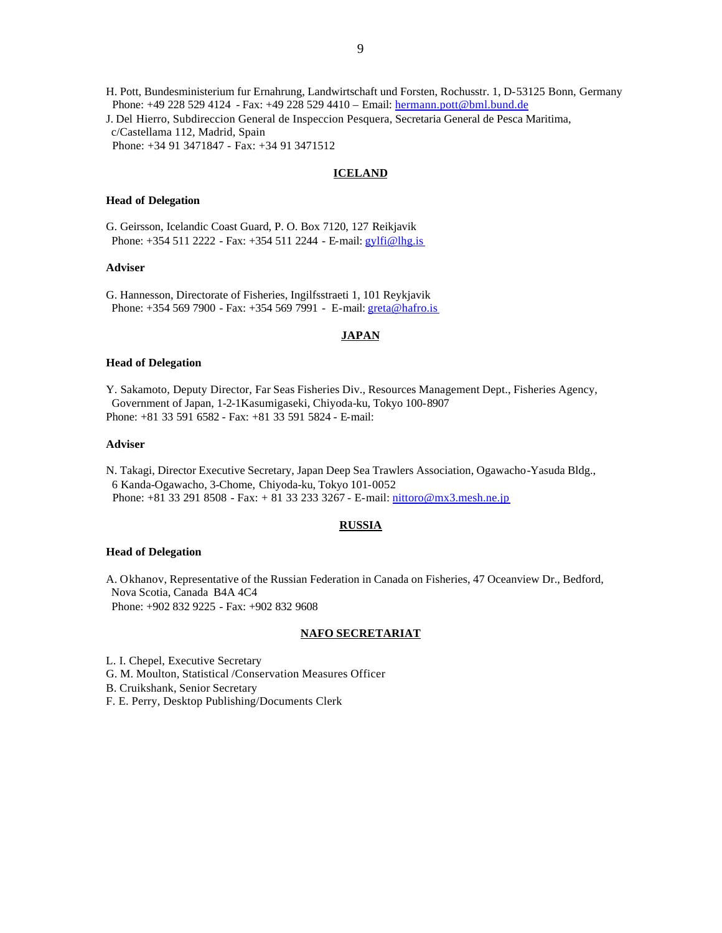H. Pott, Bundesministerium fur Ernahrung, Landwirtschaft und Forsten, Rochusstr. 1, D-53125 Bonn, Germany Phone: +49 228 529 4124 - Fax: +49 228 529 4410 – Email: hermann.pott@bml.bund.de J. Del Hierro, Subdireccion General de Inspeccion Pesquera, Secretaria General de Pesca Maritima, c/Castellama 112, Madrid, Spain Phone: +34 91 3471847 - Fax: +34 91 3471512

#### **ICELAND**

#### **Head of Delegation**

G. Geirsson, Icelandic Coast Guard, P. O. Box 7120, 127 Reikjavik Phone: +354 511 2222 - Fax: +354 511 2244 - E-mail: gylfi@lhg.is

#### **Adviser**

G. Hannesson, Directorate of Fisheries, Ingilfsstraeti 1, 101 Reykjavik Phone: +354 569 7900 - Fax: +354 569 7991 - E-mail: greta@hafro.is

#### **JAPAN**

#### **Head of Delegation**

Y. Sakamoto, Deputy Director, Far Seas Fisheries Div., Resources Management Dept., Fisheries Agency, Government of Japan, 1-2-1Kasumigaseki, Chiyoda-ku, Tokyo 100-8907 Phone: +81 33 591 6582 - Fax: +81 33 591 5824 - E-mail:

#### **Adviser**

N. Takagi, Director Executive Secretary, Japan Deep Sea Trawlers Association, Ogawacho-Yasuda Bldg., 6 Kanda-Ogawacho, 3-Chome, Chiyoda-ku, Tokyo 101-0052 Phone: +81 33 291 8508 - Fax: + 81 33 233 3267 - E-mail: nittoro@mx3.mesh.ne.jp

#### **RUSSIA**

#### **Head of Delegation**

A. Okhanov, Representative of the Russian Federation in Canada on Fisheries, 47 Oceanview Dr., Bedford, Nova Scotia, Canada B4A 4C4 Phone: +902 832 9225 - Fax: +902 832 9608

#### **NAFO SECRETARIAT**

L. I. Chepel, Executive Secretary

G. M. Moulton, Statistical /Conservation Measures Officer

B. Cruikshank, Senior Secretary

F. E. Perry, Desktop Publishing/Documents Clerk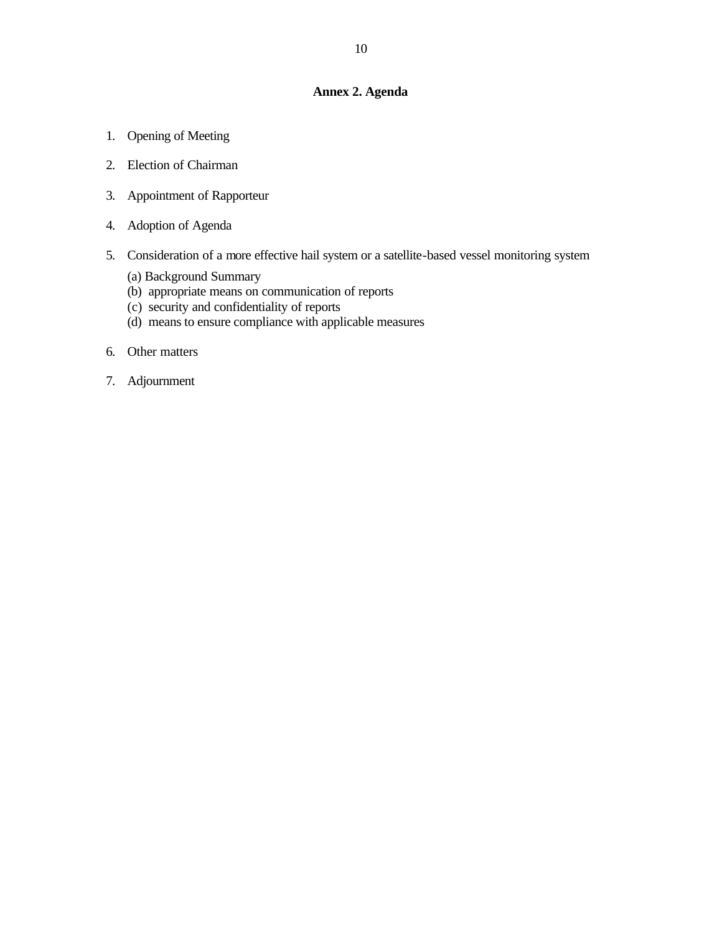## **Annex 2. Agenda**

- 1. Opening of Meeting
- 2. Election of Chairman
- 3. Appointment of Rapporteur
- 4. Adoption of Agenda
- 5. Consideration of a more effective hail system or a satellite-based vessel monitoring system
	- (a) Background Summary
	- (b) appropriate means on communication of reports
	- (c) security and confidentiality of reports
	- (d) means to ensure compliance with applicable measures
- 6. Other matters
- 7. Adjournment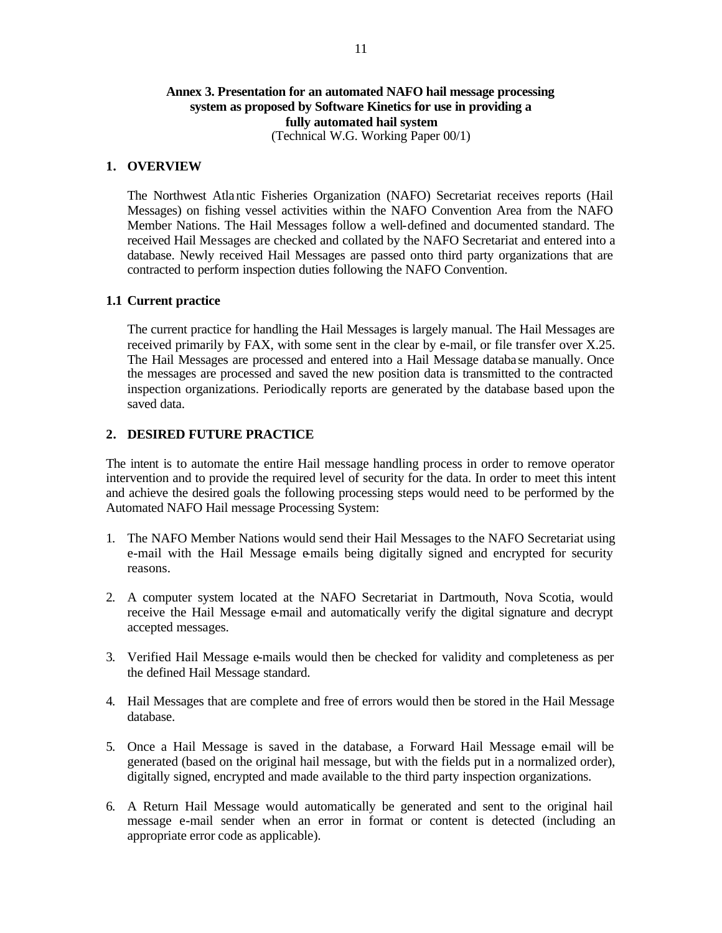## **Annex 3. Presentation for an automated NAFO hail message processing system as proposed by Software Kinetics for use in providing a fully automated hail system** (Technical W.G. Working Paper 00/1)

#### **1. OVERVIEW**

The Northwest Atlantic Fisheries Organization (NAFO) Secretariat receives reports (Hail Messages) on fishing vessel activities within the NAFO Convention Area from the NAFO Member Nations. The Hail Messages follow a well-defined and documented standard. The received Hail Messages are checked and collated by the NAFO Secretariat and entered into a database. Newly received Hail Messages are passed onto third party organizations that are contracted to perform inspection duties following the NAFO Convention.

## **1.1 Current practice**

The current practice for handling the Hail Messages is largely manual. The Hail Messages are received primarily by FAX, with some sent in the clear by e-mail, or file transfer over X.25. The Hail Messages are processed and entered into a Hail Message databa se manually. Once the messages are processed and saved the new position data is transmitted to the contracted inspection organizations. Periodically reports are generated by the database based upon the saved data.

### **2. DESIRED FUTURE PRACTICE**

The intent is to automate the entire Hail message handling process in order to remove operator intervention and to provide the required level of security for the data. In order to meet this intent and achieve the desired goals the following processing steps would need to be performed by the Automated NAFO Hail message Processing System:

- 1. The NAFO Member Nations would send their Hail Messages to the NAFO Secretariat using e-mail with the Hail Message e-mails being digitally signed and encrypted for security reasons.
- 2. A computer system located at the NAFO Secretariat in Dartmouth, Nova Scotia, would receive the Hail Message e-mail and automatically verify the digital signature and decrypt accepted messages.
- 3. Verified Hail Message e-mails would then be checked for validity and completeness as per the defined Hail Message standard.
- 4. Hail Messages that are complete and free of errors would then be stored in the Hail Message database.
- 5. Once a Hail Message is saved in the database, a Forward Hail Message e-mail will be generated (based on the original hail message, but with the fields put in a normalized order), digitally signed, encrypted and made available to the third party inspection organizations.
- 6. A Return Hail Message would automatically be generated and sent to the original hail message e-mail sender when an error in format or content is detected (including an appropriate error code as applicable).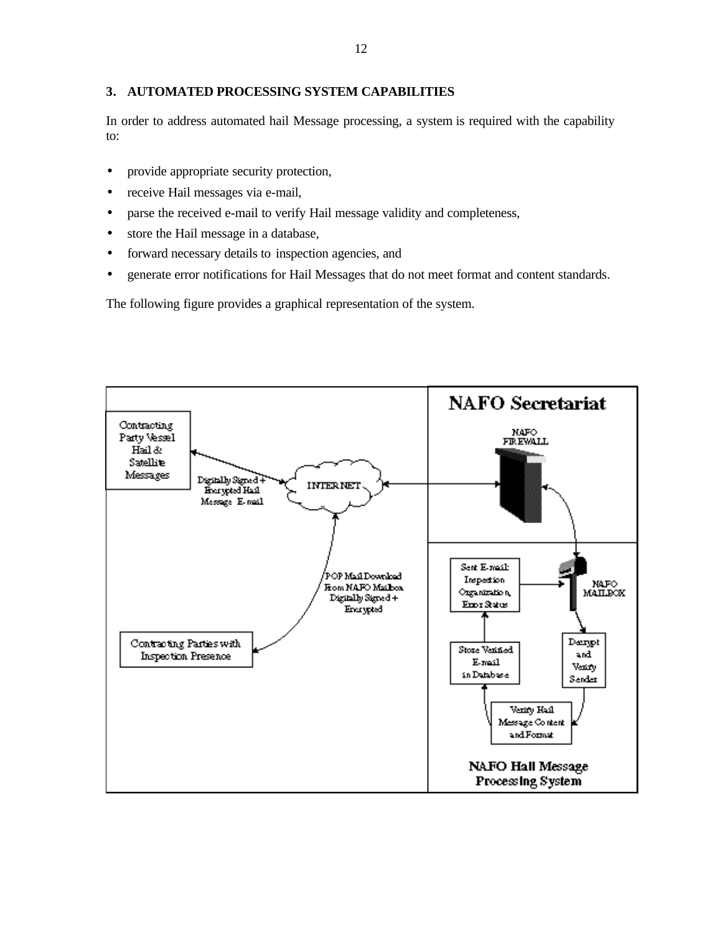### **3. AUTOMATED PROCESSING SYSTEM CAPABILITIES**

In order to address automated hail Message processing, a system is required with the capability to:

- provide appropriate security protection,
- receive Hail messages via e-mail,
- parse the received e-mail to verify Hail message validity and completeness,
- store the Hail message in a database,
- forward necessary details to inspection agencies, and
- generate error notifications for Hail Messages that do not meet format and content standards.

The following figure provides a graphical representation of the system.

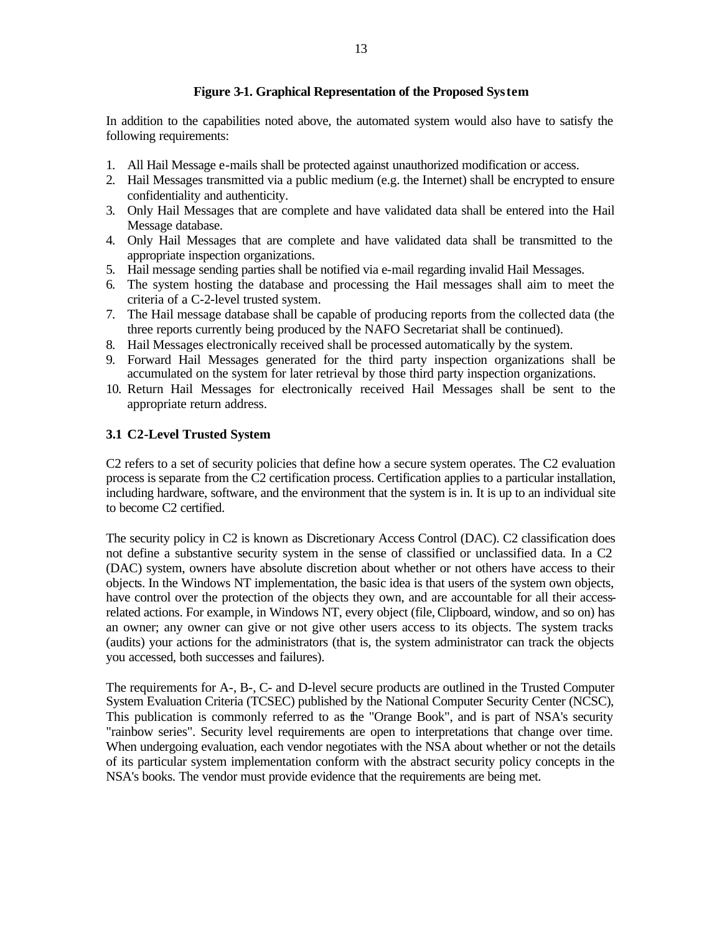## **Figure 3-1. Graphical Representation of the Proposed System**

In addition to the capabilities noted above, the automated system would also have to satisfy the following requirements:

- 1. All Hail Message e-mails shall be protected against unauthorized modification or access.
- 2. Hail Messages transmitted via a public medium (e.g. the Internet) shall be encrypted to ensure confidentiality and authenticity.
- 3. Only Hail Messages that are complete and have validated data shall be entered into the Hail Message database.
- 4. Only Hail Messages that are complete and have validated data shall be transmitted to the appropriate inspection organizations.
- 5. Hail message sending parties shall be notified via e-mail regarding invalid Hail Messages.
- 6. The system hosting the database and processing the Hail messages shall aim to meet the criteria of a C-2-level trusted system.
- 7. The Hail message database shall be capable of producing reports from the collected data (the three reports currently being produced by the NAFO Secretariat shall be continued).
- 8. Hail Messages electronically received shall be processed automatically by the system.
- 9. Forward Hail Messages generated for the third party inspection organizations shall be accumulated on the system for later retrieval by those third party inspection organizations.
- 10. Return Hail Messages for electronically received Hail Messages shall be sent to the appropriate return address.

### **3.1 C2-Level Trusted System**

C2 refers to a set of security policies that define how a secure system operates. The C2 evaluation process is separate from the C2 certification process. Certification applies to a particular installation, including hardware, software, and the environment that the system is in. It is up to an individual site to become C2 certified.

The security policy in C2 is known as Discretionary Access Control (DAC). C2 classification does not define a substantive security system in the sense of classified or unclassified data. In a C2 (DAC) system, owners have absolute discretion about whether or not others have access to their objects. In the Windows NT implementation, the basic idea is that users of the system own objects, have control over the protection of the objects they own, and are accountable for all their accessrelated actions. For example, in Windows NT, every object (file, Clipboard, window, and so on) has an owner; any owner can give or not give other users access to its objects. The system tracks (audits) your actions for the administrators (that is, the system administrator can track the objects you accessed, both successes and failures).

The requirements for A-, B-, C- and D-level secure products are outlined in the Trusted Computer System Evaluation Criteria (TCSEC) published by the National Computer Security Center (NCSC), This publication is commonly referred to as the "Orange Book", and is part of NSA's security "rainbow series". Security level requirements are open to interpretations that change over time. When undergoing evaluation, each vendor negotiates with the NSA about whether or not the details of its particular system implementation conform with the abstract security policy concepts in the NSA's books. The vendor must provide evidence that the requirements are being met.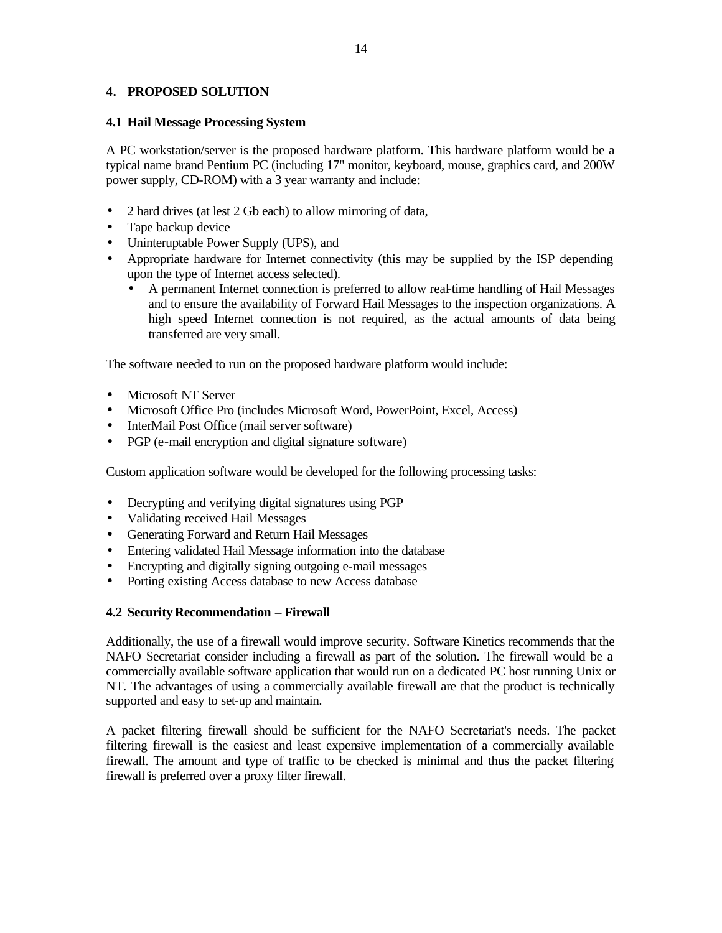## **4. PROPOSED SOLUTION**

### **4.1 Hail Message Processing System**

A PC workstation/server is the proposed hardware platform. This hardware platform would be a typical name brand Pentium PC (including 17" monitor, keyboard, mouse, graphics card, and 200W power supply, CD-ROM) with a 3 year warranty and include:

- 2 hard drives (at lest 2 Gb each) to allow mirroring of data,
- Tape backup device
- Uninteruptable Power Supply (UPS), and
- Appropriate hardware for Internet connectivity (this may be supplied by the ISP depending upon the type of Internet access selected).
	- A permanent Internet connection is preferred to allow real-time handling of Hail Messages and to ensure the availability of Forward Hail Messages to the inspection organizations. A high speed Internet connection is not required, as the actual amounts of data being transferred are very small.

The software needed to run on the proposed hardware platform would include:

- Microsoft NT Server
- Microsoft Office Pro (includes Microsoft Word, PowerPoint, Excel, Access)
- InterMail Post Office (mail server software)
- PGP (e-mail encryption and digital signature software)

Custom application software would be developed for the following processing tasks:

- Decrypting and verifying digital signatures using PGP
- Validating received Hail Messages
- Generating Forward and Return Hail Messages
- Entering validated Hail Message information into the database
- Encrypting and digitally signing outgoing e-mail messages
- Porting existing Access database to new Access database

## **4.2 Security Recommendation – Firewall**

Additionally, the use of a firewall would improve security. Software Kinetics recommends that the NAFO Secretariat consider including a firewall as part of the solution. The firewall would be a commercially available software application that would run on a dedicated PC host running Unix or NT. The advantages of using a commercially available firewall are that the product is technically supported and easy to set-up and maintain.

A packet filtering firewall should be sufficient for the NAFO Secretariat's needs. The packet filtering firewall is the easiest and least expensive implementation of a commercially available firewall. The amount and type of traffic to be checked is minimal and thus the packet filtering firewall is preferred over a proxy filter firewall.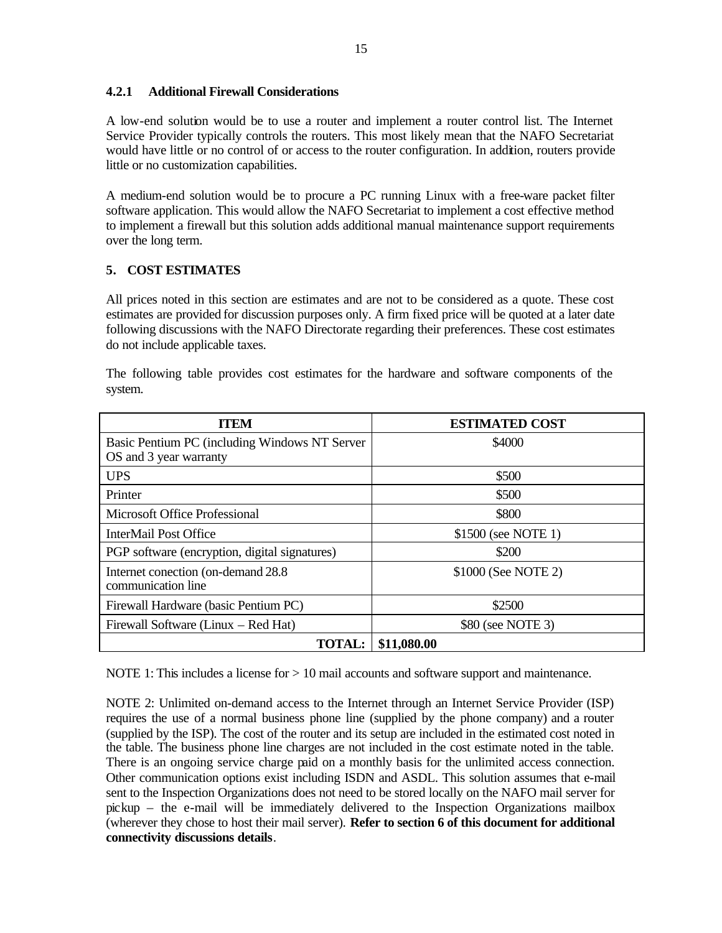## **4.2.1 Additional Firewall Considerations**

A low-end solution would be to use a router and implement a router control list. The Internet Service Provider typically controls the routers. This most likely mean that the NAFO Secretariat would have little or no control of or access to the router configuration. In addition, routers provide little or no customization capabilities.

A medium-end solution would be to procure a PC running Linux with a free-ware packet filter software application. This would allow the NAFO Secretariat to implement a cost effective method to implement a firewall but this solution adds additional manual maintenance support requirements over the long term.

# **5. COST ESTIMATES**

All prices noted in this section are estimates and are not to be considered as a quote. These cost estimates are provided for discussion purposes only. A firm fixed price will be quoted at a later date following discussions with the NAFO Directorate regarding their preferences. These cost estimates do not include applicable taxes.

| <b>TTEM</b>                                                             | <b>ESTIMATED COST</b> |
|-------------------------------------------------------------------------|-----------------------|
| Basic Pentium PC (including Windows NT Server<br>OS and 3 year warranty | \$4000                |
| <b>UPS</b>                                                              | \$500                 |
| Printer                                                                 | \$500                 |
| Microsoft Office Professional                                           | \$800                 |
| InterMail Post Office                                                   | \$1500 (see NOTE 1)   |
| PGP software (encryption, digital signatures)                           | \$200                 |
| Internet conection (on-demand 28.8)<br>communication line               | \$1000 (See NOTE 2)   |
| Firewall Hardware (basic Pentium PC)                                    | \$2500                |
| Firewall Software (Linux – Red Hat)                                     | \$80 (see NOTE 3)     |
| <b>TOTAL:</b>                                                           | \$11,080.00           |

The following table provides cost estimates for the hardware and software components of the system.

NOTE 1: This includes a license for  $> 10$  mail accounts and software support and maintenance.

NOTE 2: Unlimited on-demand access to the Internet through an Internet Service Provider (ISP) requires the use of a normal business phone line (supplied by the phone company) and a router (supplied by the ISP). The cost of the router and its setup are included in the estimated cost noted in the table. The business phone line charges are not included in the cost estimate noted in the table. There is an ongoing service charge paid on a monthly basis for the unlimited access connection. Other communication options exist including ISDN and ASDL. This solution assumes that e-mail sent to the Inspection Organizations does not need to be stored locally on the NAFO mail server for pickup – the e-mail will be immediately delivered to the Inspection Organizations mailbox (wherever they chose to host their mail server). **Refer to section 6 of this document for additional connectivity discussions details**.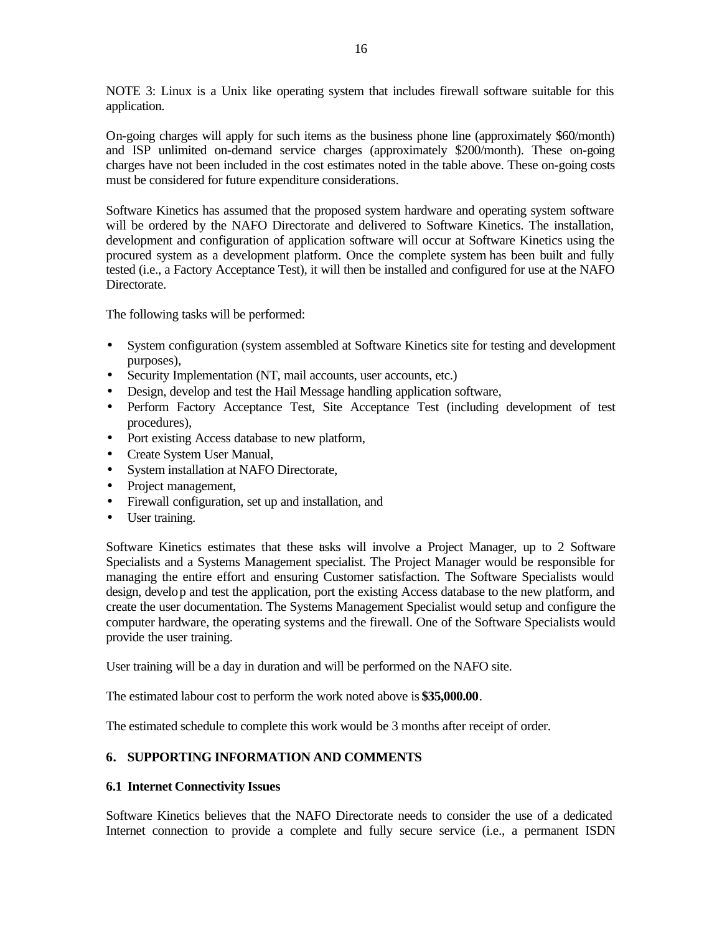NOTE 3: Linux is a Unix like operating system that includes firewall software suitable for this application.

On-going charges will apply for such items as the business phone line (approximately \$60/month) and ISP unlimited on-demand service charges (approximately \$200/month). These on-going charges have not been included in the cost estimates noted in the table above. These on-going costs must be considered for future expenditure considerations.

Software Kinetics has assumed that the proposed system hardware and operating system software will be ordered by the NAFO Directorate and delivered to Software Kinetics. The installation, development and configuration of application software will occur at Software Kinetics using the procured system as a development platform. Once the complete system has been built and fully tested (i.e., a Factory Acceptance Test), it will then be installed and configured for use at the NAFO Directorate.

The following tasks will be performed:

- System configuration (system assembled at Software Kinetics site for testing and development purposes),
- Security Implementation (NT, mail accounts, user accounts, etc.)
- Design, develop and test the Hail Message handling application software,
- Perform Factory Acceptance Test, Site Acceptance Test (including development of test procedures),
- Port existing Access database to new platform,
- Create System User Manual,
- System installation at NAFO Directorate,
- Project management,
- Firewall configuration, set up and installation, and
- User training.

Software Kinetics estimates that these tasks will involve a Project Manager, up to 2 Software Specialists and a Systems Management specialist. The Project Manager would be responsible for managing the entire effort and ensuring Customer satisfaction. The Software Specialists would design, develop and test the application, port the existing Access database to the new platform, and create the user documentation. The Systems Management Specialist would setup and configure the computer hardware, the operating systems and the firewall. One of the Software Specialists would provide the user training.

User training will be a day in duration and will be performed on the NAFO site.

The estimated labour cost to perform the work noted above is **\$35,000.00**.

The estimated schedule to complete this work would be 3 months after receipt of order.

#### **6. SUPPORTING INFORMATION AND COMMENTS**

#### **6.1 Internet Connectivity Issues**

Software Kinetics believes that the NAFO Directorate needs to consider the use of a dedicated Internet connection to provide a complete and fully secure service (i.e., a permanent ISDN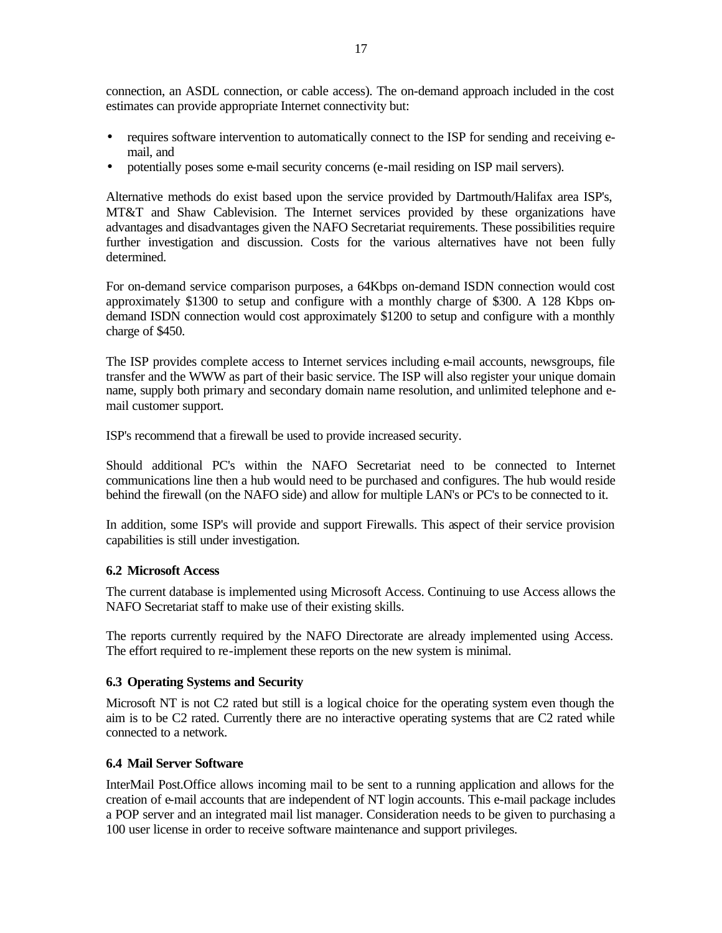connection, an ASDL connection, or cable access). The on-demand approach included in the cost estimates can provide appropriate Internet connectivity but:

- requires software intervention to automatically connect to the ISP for sending and receiving email, and
- potentially poses some e-mail security concerns (e-mail residing on ISP mail servers).

Alternative methods do exist based upon the service provided by Dartmouth/Halifax area ISP's, MT&T and Shaw Cablevision. The Internet services provided by these organizations have advantages and disadvantages given the NAFO Secretariat requirements. These possibilities require further investigation and discussion. Costs for the various alternatives have not been fully determined.

For on-demand service comparison purposes, a 64Kbps on-demand ISDN connection would cost approximately \$1300 to setup and configure with a monthly charge of \$300. A 128 Kbps ondemand ISDN connection would cost approximately \$1200 to setup and configure with a monthly charge of \$450.

The ISP provides complete access to Internet services including e-mail accounts, newsgroups, file transfer and the WWW as part of their basic service. The ISP will also register your unique domain name, supply both primary and secondary domain name resolution, and unlimited telephone and email customer support.

ISP's recommend that a firewall be used to provide increased security.

Should additional PC's within the NAFO Secretariat need to be connected to Internet communications line then a hub would need to be purchased and configures. The hub would reside behind the firewall (on the NAFO side) and allow for multiple LAN's or PC's to be connected to it.

In addition, some ISP's will provide and support Firewalls. This aspect of their service provision capabilities is still under investigation.

## **6.2 Microsoft Access**

The current database is implemented using Microsoft Access. Continuing to use Access allows the NAFO Secretariat staff to make use of their existing skills.

The reports currently required by the NAFO Directorate are already implemented using Access. The effort required to re-implement these reports on the new system is minimal.

## **6.3 Operating Systems and Security**

Microsoft NT is not C2 rated but still is a logical choice for the operating system even though the aim is to be C2 rated. Currently there are no interactive operating systems that are C2 rated while connected to a network.

## **6.4 Mail Server Software**

InterMail Post.Office allows incoming mail to be sent to a running application and allows for the creation of e-mail accounts that are independent of NT login accounts. This e-mail package includes a POP server and an integrated mail list manager. Consideration needs to be given to purchasing a 100 user license in order to receive software maintenance and support privileges.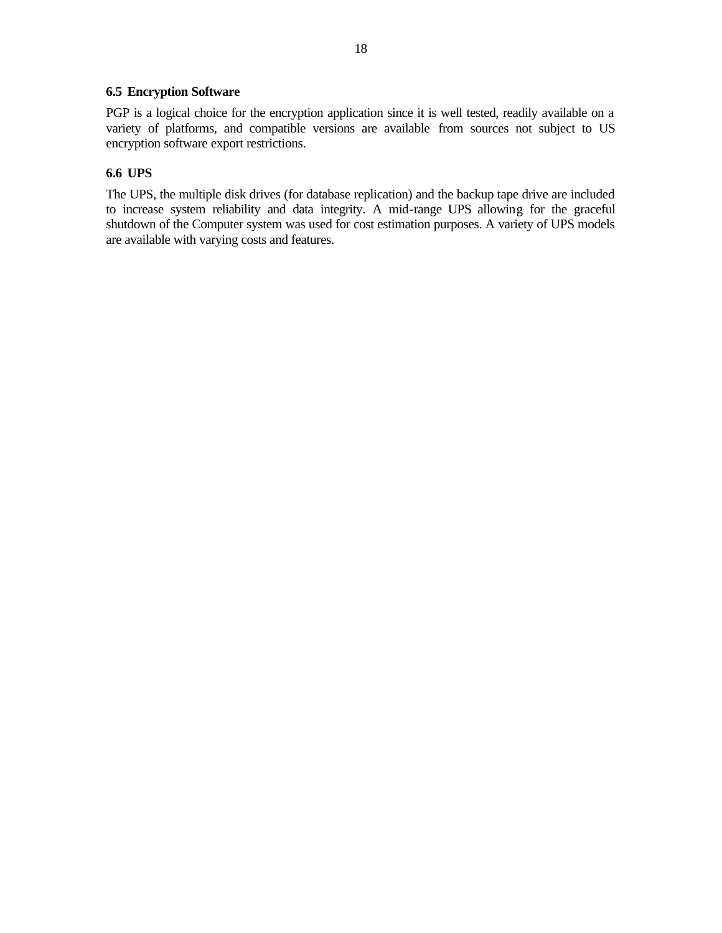## **6.5 Encryption Software**

PGP is a logical choice for the encryption application since it is well tested, readily available on a variety of platforms, and compatible versions are available from sources not subject to US encryption software export restrictions.

# **6.6 UPS**

The UPS, the multiple disk drives (for database replication) and the backup tape drive are included to increase system reliability and data integrity. A mid-range UPS allowing for the graceful shutdown of the Computer system was used for cost estimation purposes. A variety of UPS models are available with varying costs and features.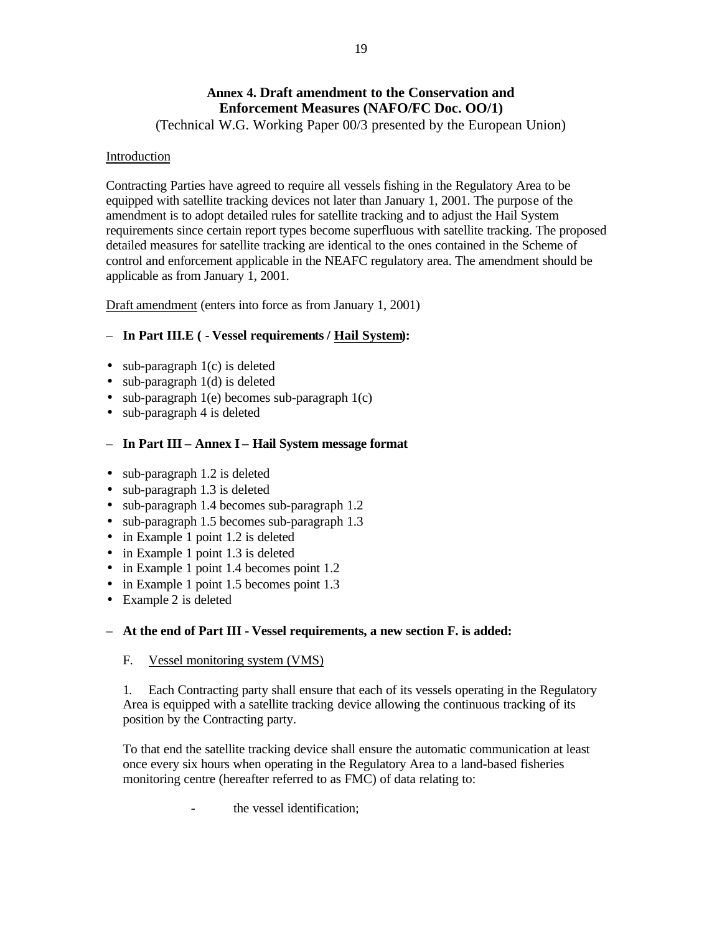# **Annex 4. Draft amendment to the Conservation and Enforcement Measures (NAFO/FC Doc. OO/1)**

(Technical W.G. Working Paper 00/3 presented by the European Union)

### Introduction

Contracting Parties have agreed to require all vessels fishing in the Regulatory Area to be equipped with satellite tracking devices not later than January 1, 2001. The purpose of the amendment is to adopt detailed rules for satellite tracking and to adjust the Hail System requirements since certain report types become superfluous with satellite tracking. The proposed detailed measures for satellite tracking are identical to the ones contained in the Scheme of control and enforcement applicable in the NEAFC regulatory area. The amendment should be applicable as from January 1, 2001.

Draft amendment (enters into force as from January 1, 2001)

# – **In Part III.E ( - Vessel requirements / Hail System):**

- sub-paragraph  $1(c)$  is deleted
- sub-paragraph 1(d) is deleted
- sub-paragraph 1(e) becomes sub-paragraph 1(c)
- sub-paragraph 4 is deleted

# – **In Part III – Annex I – Hail System message format**

- sub-paragraph 1.2 is deleted
- sub-paragraph 1.3 is deleted
- sub-paragraph 1.4 becomes sub-paragraph 1.2
- sub-paragraph 1.5 becomes sub-paragraph 1.3
- in Example 1 point 1.2 is deleted
- in Example 1 point 1.3 is deleted
- in Example 1 point 1.4 becomes point 1.2
- in Example 1 point 1.5 becomes point 1.3
- Example 2 is deleted

## – **At the end of Part III - Vessel requirements, a new section F. is added:**

## F. Vessel monitoring system (VMS)

1. Each Contracting party shall ensure that each of its vessels operating in the Regulatory Area is equipped with a satellite tracking device allowing the continuous tracking of its position by the Contracting party.

To that end the satellite tracking device shall ensure the automatic communication at least once every six hours when operating in the Regulatory Area to a land-based fisheries monitoring centre (hereafter referred to as FMC) of data relating to:

the vessel identification: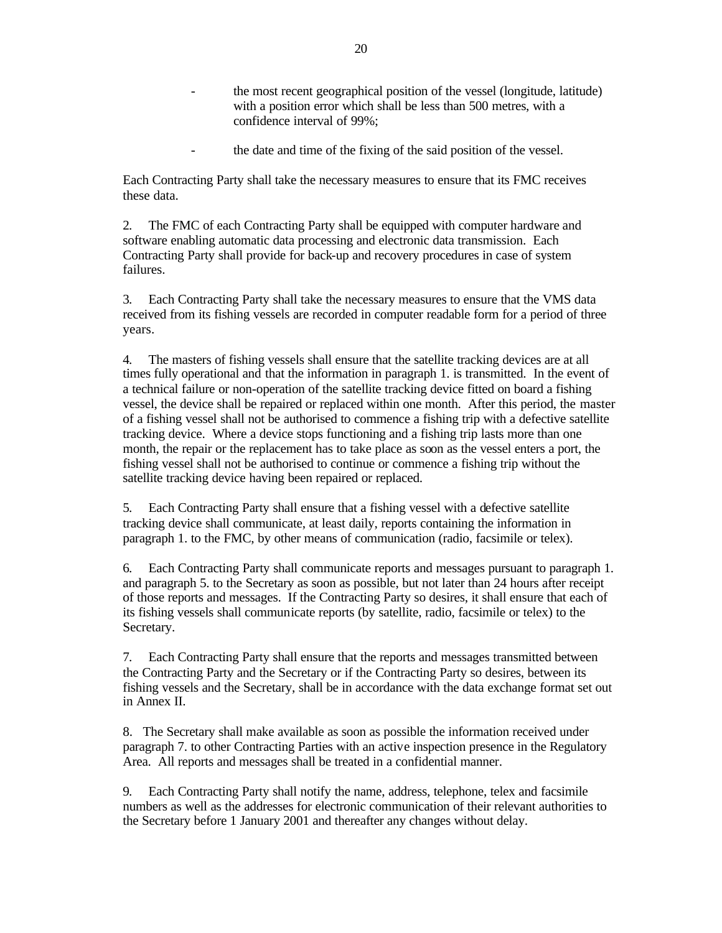- the most recent geographical position of the vessel (longitude, latitude) with a position error which shall be less than 500 metres, with a confidence interval of 99%;
- the date and time of the fixing of the said position of the vessel.

Each Contracting Party shall take the necessary measures to ensure that its FMC receives these data.

2. The FMC of each Contracting Party shall be equipped with computer hardware and software enabling automatic data processing and electronic data transmission. Each Contracting Party shall provide for back-up and recovery procedures in case of system failures.

3. Each Contracting Party shall take the necessary measures to ensure that the VMS data received from its fishing vessels are recorded in computer readable form for a period of three years.

4. The masters of fishing vessels shall ensure that the satellite tracking devices are at all times fully operational and that the information in paragraph 1. is transmitted. In the event of a technical failure or non-operation of the satellite tracking device fitted on board a fishing vessel, the device shall be repaired or replaced within one month. After this period, the master of a fishing vessel shall not be authorised to commence a fishing trip with a defective satellite tracking device. Where a device stops functioning and a fishing trip lasts more than one month, the repair or the replacement has to take place as soon as the vessel enters a port, the fishing vessel shall not be authorised to continue or commence a fishing trip without the satellite tracking device having been repaired or replaced.

5. Each Contracting Party shall ensure that a fishing vessel with a defective satellite tracking device shall communicate, at least daily, reports containing the information in paragraph 1. to the FMC, by other means of communication (radio, facsimile or telex).

6. Each Contracting Party shall communicate reports and messages pursuant to paragraph 1. and paragraph 5. to the Secretary as soon as possible, but not later than 24 hours after receipt of those reports and messages. If the Contracting Party so desires, it shall ensure that each of its fishing vessels shall communicate reports (by satellite, radio, facsimile or telex) to the Secretary.

7. Each Contracting Party shall ensure that the reports and messages transmitted between the Contracting Party and the Secretary or if the Contracting Party so desires, between its fishing vessels and the Secretary, shall be in accordance with the data exchange format set out in Annex II.

8. The Secretary shall make available as soon as possible the information received under paragraph 7. to other Contracting Parties with an active inspection presence in the Regulatory Area. All reports and messages shall be treated in a confidential manner.

9. Each Contracting Party shall notify the name, address, telephone, telex and facsimile numbers as well as the addresses for electronic communication of their relevant authorities to the Secretary before 1 January 2001 and thereafter any changes without delay.